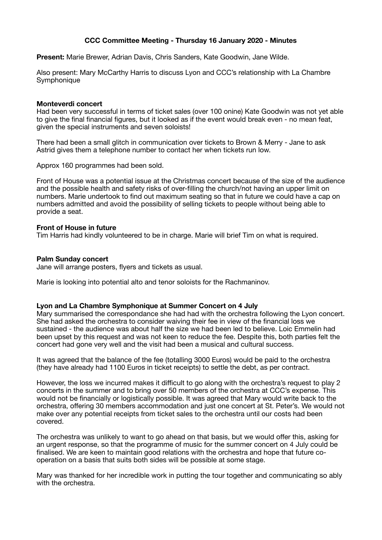# **CCC Committee Meeting - Thursday 16 January 2020 - Minutes**

**Present:** Marie Brewer, Adrian Davis, Chris Sanders, Kate Goodwin, Jane Wilde.

Also present: Mary McCarthy Harris to discuss Lyon and CCC's relationship with La Chambre Symphonique

## **Monteverdi concert**

Had been very successful in terms of ticket sales (over 100 onine) Kate Goodwin was not yet able to give the final financial figures, but it looked as if the event would break even - no mean feat, given the special instruments and seven soloists!

There had been a small glitch in communication over tickets to Brown & Merry - Jane to ask Astrid gives them a telephone number to contact her when tickets run low.

Approx 160 programmes had been sold.

Front of House was a potential issue at the Christmas concert because of the size of the audience and the possible health and safety risks of over-filling the church/not having an upper limit on numbers. Marie undertook to find out maximum seating so that in future we could have a cap on numbers admitted and avoid the possibility of selling tickets to people without being able to provide a seat.

## **Front of House in future**

Tim Harris had kindly volunteered to be in charge. Marie will brief Tim on what is required.

#### **Palm Sunday concert**

Jane will arrange posters, flyers and tickets as usual.

Marie is looking into potential alto and tenor soloists for the Rachmaninov.

## **Lyon and La Chambre Symphonique at Summer Concert on 4 July**

Mary summarised the correspondance she had had with the orchestra following the Lyon concert. She had asked the orchestra to consider waiving their fee in view of the financial loss we sustained - the audience was about half the size we had been led to believe. Loic Emmelin had been upset by this request and was not keen to reduce the fee. Despite this, both parties felt the concert had gone very well and the visit had been a musical and cultural success.

It was agreed that the balance of the fee (totalling 3000 Euros) would be paid to the orchestra (they have already had 1100 Euros in ticket receipts) to settle the debt, as per contract.

However, the loss we incurred makes it difficult to go along with the orchestra's request to play 2 concerts in the summer and to bring over 50 members of the orchestra at CCC's expense. This would not be financially or logistically possible. It was agreed that Mary would write back to the orchestra, offering 30 members accommodation and just one concert at St. Peter's. We would not make over any potential receipts from ticket sales to the orchestra until our costs had been covered.

The orchestra was unlikely to want to go ahead on that basis, but we would offer this, asking for an urgent response, so that the programme of music for the summer concert on 4 July could be finalised. We are keen to maintain good relations with the orchestra and hope that future cooperation on a basis that suits both sides will be possible at some stage.

Mary was thanked for her incredible work in putting the tour together and communicating so ably with the orchestra.